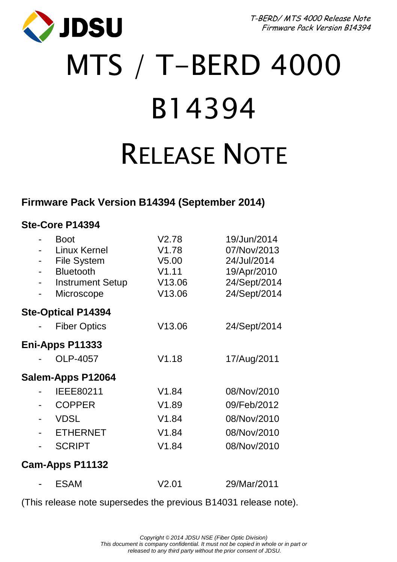JDSU

T-BERD/ MTS 4000 Release Note Firmware Pack Version B14394

# MTS / T-BERD 4000 B14394 RELEASE NOTE

## **Firmware Pack Version B14394 (September 2014)**

### **Ste-Core P14394**

|                           |  | <b>Boot</b><br>Linux Kernel<br><b>File System</b><br>Bluetooth<br><b>Instrument Setup</b><br>Microscope | V2.78<br>V1.78<br>V <sub>5.00</sub><br>V1.11<br>V13.06<br>V13.06 | 19/Jun/2014<br>07/Nov/2013<br>24/Jul/2014<br>19/Apr/2010<br>24/Sept/2014<br>24/Sept/2014 |  |
|---------------------------|--|---------------------------------------------------------------------------------------------------------|------------------------------------------------------------------|------------------------------------------------------------------------------------------|--|
| <b>Ste-Optical P14394</b> |  |                                                                                                         |                                                                  |                                                                                          |  |
|                           |  | <b>Fiber Optics</b>                                                                                     | V13.06                                                           | 24/Sept/2014                                                                             |  |
| Eni-Apps P11333           |  |                                                                                                         |                                                                  |                                                                                          |  |
|                           |  | OLP-4057                                                                                                | V1.18                                                            | 17/Aug/2011                                                                              |  |
| Salem-Apps P12064         |  |                                                                                                         |                                                                  |                                                                                          |  |
|                           |  | IEEE80211                                                                                               | V1.84                                                            | 08/Nov/2010                                                                              |  |
|                           |  | <b>COPPER</b>                                                                                           | V1.89                                                            | 09/Feb/2012                                                                              |  |
|                           |  | <b>VDSL</b>                                                                                             | V1.84                                                            | 08/Nov/2010                                                                              |  |
|                           |  | <b>ETHERNET</b>                                                                                         | V1.84                                                            | 08/Nov/2010                                                                              |  |
|                           |  | <b>SCRIPT</b>                                                                                           | V1.84                                                            | 08/Nov/2010                                                                              |  |
| Cam-Apps P11132           |  |                                                                                                         |                                                                  |                                                                                          |  |
|                           |  | <b>ESAM</b>                                                                                             | V2.01                                                            | 29/Mar/2011                                                                              |  |
|                           |  |                                                                                                         |                                                                  |                                                                                          |  |

(This release note supersedes the previous B14031 release note).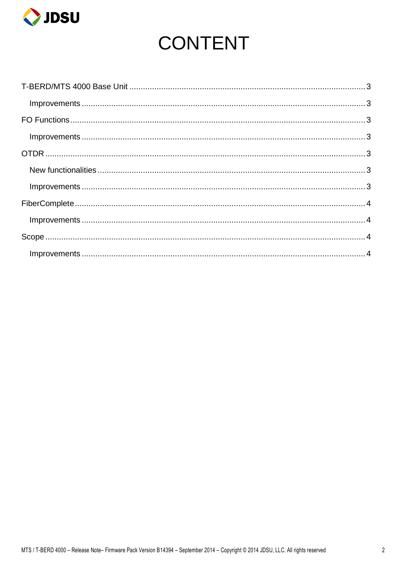

## **CONTENT**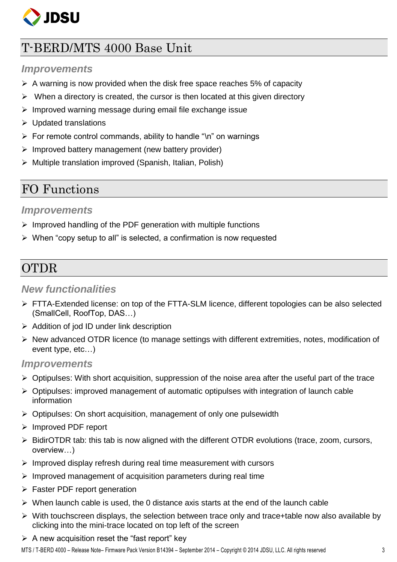

## <span id="page-2-0"></span>T-BERD/MTS 4000 Base Unit

#### <span id="page-2-1"></span>*Improvements*

- $\triangleright$  A warning is now provided when the disk free space reaches 5% of capacity
- When a directory is created, the cursor is then located at this given directory
- $\triangleright$  Improved warning message during email file exchange issue
- $\triangleright$  Updated translations
- $\triangleright$  For remote control commands, ability to handle "\n" on warnings
- $\triangleright$  Improved battery management (new battery provider)
- $\triangleright$  Multiple translation improved (Spanish, Italian, Polish)

## <span id="page-2-2"></span>FO Functions

#### <span id="page-2-3"></span>*Improvements*

- $\triangleright$  Improved handling of the PDF generation with multiple functions
- $\triangleright$  When "copy setup to all" is selected, a confirmation is now requested

## <span id="page-2-4"></span>OTDR

#### <span id="page-2-5"></span>*New functionalities*

- $\triangleright$  FTTA-Extended license: on top of the FTTA-SLM licence, different topologies can be also selected (SmallCell, RoofTop, DAS…)
- $\triangleright$  Addition of jod ID under link description
- $\triangleright$  New advanced OTDR licence (to manage settings with different extremities, notes, modification of event type, etc…)

#### <span id="page-2-6"></span>*Improvements*

- $\triangleright$  Optipulses: With short acquisition, suppression of the noise area after the useful part of the trace
- $\triangleright$  Optipulses: improved management of automatic optipulses with integration of launch cable information
- $\triangleright$  Optipulses: On short acquisition, management of only one pulsewidth
- > Improved PDF report
- $\triangleright$  BidirOTDR tab: this tab is now aligned with the different OTDR evolutions (trace, zoom, cursors, overview…)
- $\triangleright$  Improved display refresh during real time measurement with cursors
- $\triangleright$  Improved management of acquisition parameters during real time
- > Faster PDF report generation
- $\triangleright$  When launch cable is used, the 0 distance axis starts at the end of the launch cable
- $\triangleright$  With touchscreen displays, the selection between trace only and trace+table now also available by clicking into the mini-trace located on top left of the screen
- $\triangleright$  A new acquisition reset the "fast report" key

MTS / T-BERD 4000 – Release Note– Firmware Pack Version B14394 – September 2014 – Copyright © 2014 JDSU, LLC. All rights reserved 3